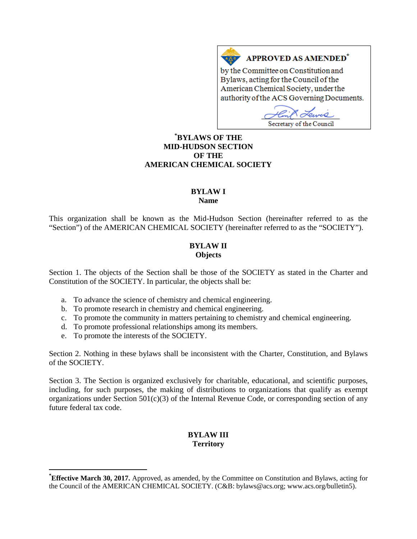# **APPROVED AS AMENDED<sup>\*</sup>**

by the Committee on Constitution and Bylaws, acting for the Council of the American Chemical Society, under the authority of the ACS Governing Documents.

*Omro* Secretary of the Council

# **[\\*](#page-0-0) BYLAWS OF THE MID-HUDSON SECTION OF THE AMERICAN CHEMICAL SOCIETY**

 $A \overline{\Delta}$ 

# **BYLAW I**

**Name**

This organization shall be known as the Mid-Hudson Section (hereinafter referred to as the "Section") of the AMERICAN CHEMICAL SOCIETY (hereinafter referred to as the "SOCIETY").

#### **BYLAW II Objects**

Section 1. The objects of the Section shall be those of the SOCIETY as stated in the Charter and Constitution of the SOCIETY. In particular, the objects shall be:

- a. To advance the science of chemistry and chemical engineering.
- b. To promote research in chemistry and chemical engineering.
- c. To promote the community in matters pertaining to chemistry and chemical engineering.
- d. To promote professional relationships among its members.
- e. To promote the interests of the SOCIETY.

Section 2. Nothing in these bylaws shall be inconsistent with the Charter, Constitution, and Bylaws of the SOCIETY.

Section 3. The Section is organized exclusively for charitable, educational, and scientific purposes, including, for such purposes, the making of distributions to organizations that qualify as exempt organizations under Section 501(c)(3) of the Internal Revenue Code, or corresponding section of any future federal tax code.

# **BYLAW III Territory**

<span id="page-0-0"></span>**\* Effective March 30, 2017.** Approved, as amended, by the Committee on Constitution and Bylaws, acting for the Council of the AMERICAN CHEMICAL SOCIETY. (C&B: bylaws@acs.org; www.acs.org/bulletin5).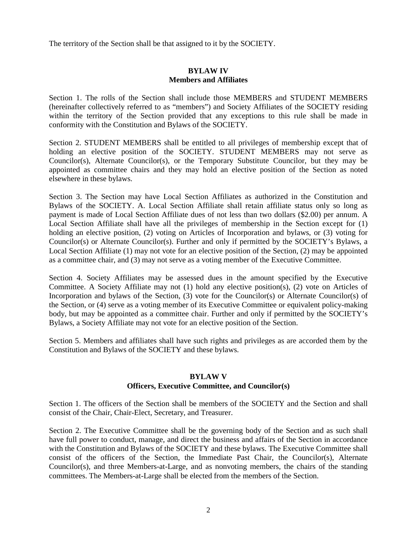The territory of the Section shall be that assigned to it by the SOCIETY.

#### **BYLAW IV Members and Affiliates**

Section 1. The rolls of the Section shall include those MEMBERS and STUDENT MEMBERS (hereinafter collectively referred to as "members") and Society Affiliates of the SOCIETY residing within the territory of the Section provided that any exceptions to this rule shall be made in conformity with the Constitution and Bylaws of the SOCIETY.

Section 2. STUDENT MEMBERS shall be entitled to all privileges of membership except that of holding an elective position of the SOCIETY. STUDENT MEMBERS may not serve as Councilor(s), Alternate Councilor(s), or the Temporary Substitute Councilor, but they may be appointed as committee chairs and they may hold an elective position of the Section as noted elsewhere in these bylaws.

Section 3. The Section may have Local Section Affiliates as authorized in the Constitution and Bylaws of the SOCIETY. A. Local Section Affiliate shall retain affiliate status only so long as payment is made of Local Section Affiliate dues of not less than two dollars (\$2.00) per annum. A Local Section Affiliate shall have all the privileges of membership in the Section except for (1) holding an elective position, (2) voting on Articles of Incorporation and bylaws, or (3) voting for Councilor(s) or Alternate Councilor(s). Further and only if permitted by the SOCIETY's Bylaws, a Local Section Affiliate (1) may not vote for an elective position of the Section, (2) may be appointed as a committee chair, and (3) may not serve as a voting member of the Executive Committee.

Section 4. Society Affiliates may be assessed dues in the amount specified by the Executive Committee. A Society Affiliate may not (1) hold any elective position(s), (2) vote on Articles of Incorporation and bylaws of the Section, (3) vote for the Councilor(s) or Alternate Councilor(s) of the Section, or (4) serve as a voting member of its Executive Committee or equivalent policy-making body, but may be appointed as a committee chair. Further and only if permitted by the SOCIETY's Bylaws, a Society Affiliate may not vote for an elective position of the Section.

Section 5. Members and affiliates shall have such rights and privileges as are accorded them by the Constitution and Bylaws of the SOCIETY and these bylaws.

#### **BYLAW V**

#### **Officers, Executive Committee, and Councilor(s)**

Section 1. The officers of the Section shall be members of the SOCIETY and the Section and shall consist of the Chair, Chair-Elect, Secretary, and Treasurer.

Section 2. The Executive Committee shall be the governing body of the Section and as such shall have full power to conduct, manage, and direct the business and affairs of the Section in accordance with the Constitution and Bylaws of the SOCIETY and these bylaws. The Executive Committee shall consist of the officers of the Section, the Immediate Past Chair, the Councilor(s), Alternate Councilor(s), and three Members-at-Large, and as nonvoting members, the chairs of the standing committees. The Members-at-Large shall be elected from the members of the Section.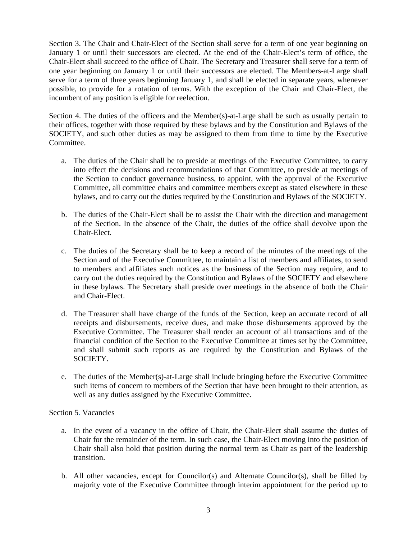Section 3. The Chair and Chair-Elect of the Section shall serve for a term of one year beginning on January 1 or until their successors are elected. At the end of the Chair-Elect's term of office, the Chair-Elect shall succeed to the office of Chair. The Secretary and Treasurer shall serve for a term of one year beginning on January 1 or until their successors are elected. The Members-at-Large shall serve for a term of three years beginning January 1, and shall be elected in separate years, whenever possible, to provide for a rotation of terms. With the exception of the Chair and Chair-Elect, the incumbent of any position is eligible for reelection.

Section 4. The duties of the officers and the Member(s)-at-Large shall be such as usually pertain to their offices, together with those required by these bylaws and by the Constitution and Bylaws of the SOCIETY, and such other duties as may be assigned to them from time to time by the Executive Committee.

- a. The duties of the Chair shall be to preside at meetings of the Executive Committee, to carry into effect the decisions and recommendations of that Committee, to preside at meetings of the Section to conduct governance business, to appoint, with the approval of the Executive Committee, all committee chairs and committee members except as stated elsewhere in these bylaws, and to carry out the duties required by the Constitution and Bylaws of the SOCIETY.
- b. The duties of the Chair-Elect shall be to assist the Chair with the direction and management of the Section. In the absence of the Chair, the duties of the office shall devolve upon the Chair-Elect.
- c. The duties of the Secretary shall be to keep a record of the minutes of the meetings of the Section and of the Executive Committee, to maintain a list of members and affiliates, to send to members and affiliates such notices as the business of the Section may require, and to carry out the duties required by the Constitution and Bylaws of the SOCIETY and elsewhere in these bylaws. The Secretary shall preside over meetings in the absence of both the Chair and Chair-Elect.
- d. The Treasurer shall have charge of the funds of the Section, keep an accurate record of all receipts and disbursements, receive dues, and make those disbursements approved by the Executive Committee. The Treasurer shall render an account of all transactions and of the financial condition of the Section to the Executive Committee at times set by the Committee, and shall submit such reports as are required by the Constitution and Bylaws of the SOCIETY.
- e. The duties of the Member(s)-at-Large shall include bringing before the Executive Committee such items of concern to members of the Section that have been brought to their attention, as well as any duties assigned by the Executive Committee.

## Section 5. Vacancies

- a. In the event of a vacancy in the office of Chair, the Chair-Elect shall assume the duties of Chair for the remainder of the term. In such case, the Chair-Elect moving into the position of Chair shall also hold that position during the normal term as Chair as part of the leadership transition.
- b. All other vacancies, except for Councilor(s) and Alternate Councilor(s), shall be filled by majority vote of the Executive Committee through interim appointment for the period up to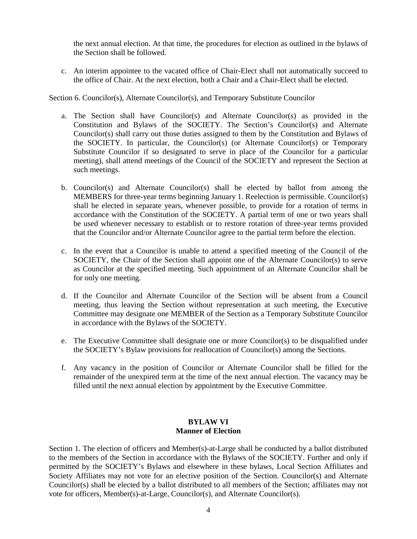the next annual election. At that time, the procedures for election as outlined in the bylaws of the Section shall be followed.

c. An interim appointee to the vacated office of Chair-Elect shall not automatically succeed to the office of Chair. At the next election, both a Chair and a Chair-Elect shall be elected.

Section 6. Councilor(s), Alternate Councilor(s), and Temporary Substitute Councilor

- a. The Section shall have Councilor(s) and Alternate Councilor(s) as provided in the Constitution and Bylaws of the SOCIETY. The Section's Councilor(s) and Alternate Councilor(s) shall carry out those duties assigned to them by the Constitution and Bylaws of the SOCIETY. In particular, the Councilor(s) (or Alternate Councilor(s) or Temporary Substitute Councilor if so designated to serve in place of the Councilor for a particular meeting), shall attend meetings of the Council of the SOCIETY and represent the Section at such meetings.
- b. Councilor(s) and Alternate Councilor(s) shall be elected by ballot from among the MEMBERS for three-year terms beginning January 1. Reelection is permissible. Councilor(s) shall be elected in separate years, whenever possible, to provide for a rotation of terms in accordance with the Constitution of the SOCIETY. A partial term of one or two years shall be used whenever necessary to establish or to restore rotation of three-year terms provided that the Councilor and/or Alternate Councilor agree to the partial term before the election.
- c. In the event that a Councilor is unable to attend a specified meeting of the Council of the SOCIETY, the Chair of the Section shall appoint one of the Alternate Councilor(s) to serve as Councilor at the specified meeting. Such appointment of an Alternate Councilor shall be for only one meeting.
- d. If the Councilor and Alternate Councilor of the Section will be absent from a Council meeting, thus leaving the Section without representation at such meeting, the Executive Committee may designate one MEMBER of the Section as a Temporary Substitute Councilor in accordance with the Bylaws of the SOCIETY.
- e. The Executive Committee shall designate one or more Councilor(s) to be disqualified under the SOCIETY's Bylaw provisions for reallocation of Councilor(s) among the Sections.
- f. Any vacancy in the position of Councilor or Alternate Councilor shall be filled for the remainder of the unexpired term at the time of the next annual election. The vacancy may be filled until the next annual election by appointment by the Executive Committee.

#### **BYLAW VI Manner of Election**

Section 1. The election of officers and Member(s)-at-Large shall be conducted by a ballot distributed to the members of the Section in accordance with the Bylaws of the SOCIETY. Further and only if permitted by the SOCIETY's Bylaws and elsewhere in these bylaws, Local Section Affiliates and Society Affiliates may not vote for an elective position of the Section. Councilor(s) and Alternate Councilor(s) shall be elected by a ballot distributed to all members of the Section; affiliates may not vote for officers, Member(s)-at-Large, Councilor(s), and Alternate Councilor(s).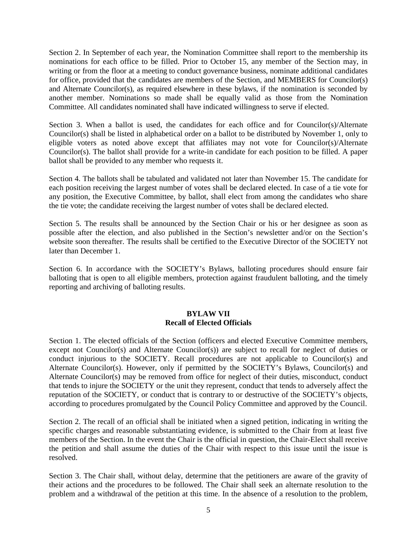Section 2. In September of each year, the Nomination Committee shall report to the membership its nominations for each office to be filled. Prior to October 15, any member of the Section may, in writing or from the floor at a meeting to conduct governance business, nominate additional candidates for office, provided that the candidates are members of the Section, and MEMBERS for Councilor(s) and Alternate Councilor(s), as required elsewhere in these bylaws, if the nomination is seconded by another member. Nominations so made shall be equally valid as those from the Nomination Committee. All candidates nominated shall have indicated willingness to serve if elected.

Section 3. When a ballot is used, the candidates for each office and for Councilor(s)/Alternate Councilor(s) shall be listed in alphabetical order on a ballot to be distributed by November 1, only to eligible voters as noted above except that affiliates may not vote for Councilor(s)/Alternate Councilor(s). The ballot shall provide for a write-in candidate for each position to be filled. A paper ballot shall be provided to any member who requests it.

Section 4. The ballots shall be tabulated and validated not later than November 15. The candidate for each position receiving the largest number of votes shall be declared elected. In case of a tie vote for any position, the Executive Committee, by ballot, shall elect from among the candidates who share the tie vote; the candidate receiving the largest number of votes shall be declared elected.

Section 5. The results shall be announced by the Section Chair or his or her designee as soon as possible after the election, and also published in the Section's newsletter and/or on the Section's website soon thereafter. The results shall be certified to the Executive Director of the SOCIETY not later than December 1.

Section 6. In accordance with the SOCIETY's Bylaws, balloting procedures should ensure fair balloting that is open to all eligible members, protection against fraudulent balloting, and the timely reporting and archiving of balloting results.

# **BYLAW VII Recall of Elected Officials**

Section 1. The elected officials of the Section (officers and elected Executive Committee members, except not Councilor(s) and Alternate Councilor(s)) are subject to recall for neglect of duties or conduct injurious to the SOCIETY. Recall procedures are not applicable to Councilor(s) and Alternate Councilor(s). However, only if permitted by the SOCIETY's Bylaws, Councilor(s) and Alternate Councilor(s) may be removed from office for neglect of their duties, misconduct, conduct that tends to injure the SOCIETY or the unit they represent, conduct that tends to adversely affect the reputation of the SOCIETY, or conduct that is contrary to or destructive of the SOCIETY's objects, according to procedures promulgated by the Council Policy Committee and approved by the Council.

Section 2. The recall of an official shall be initiated when a signed petition, indicating in writing the specific charges and reasonable substantiating evidence, is submitted to the Chair from at least five members of the Section. In the event the Chair is the official in question, the Chair-Elect shall receive the petition and shall assume the duties of the Chair with respect to this issue until the issue is resolved.

Section 3. The Chair shall, without delay, determine that the petitioners are aware of the gravity of their actions and the procedures to be followed. The Chair shall seek an alternate resolution to the problem and a withdrawal of the petition at this time. In the absence of a resolution to the problem,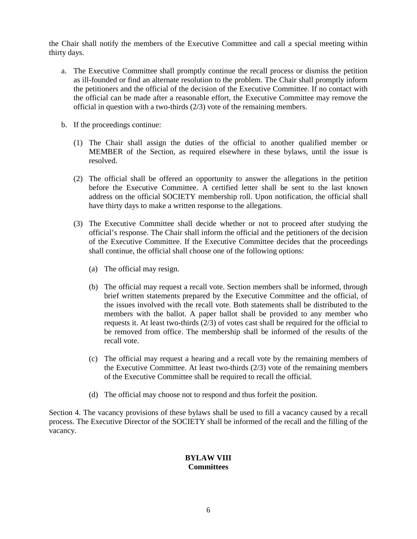the Chair shall notify the members of the Executive Committee and call a special meeting within thirty days.

- a. The Executive Committee shall promptly continue the recall process or dismiss the petition as ill-founded or find an alternate resolution to the problem. The Chair shall promptly inform the petitioners and the official of the decision of the Executive Committee. If no contact with the official can be made after a reasonable effort, the Executive Committee may remove the official in question with a two-thirds (2/3) vote of the remaining members.
- b. If the proceedings continue:
	- (1) The Chair shall assign the duties of the official to another qualified member or MEMBER of the Section, as required elsewhere in these bylaws, until the issue is resolved.
	- (2) The official shall be offered an opportunity to answer the allegations in the petition before the Executive Committee. A certified letter shall be sent to the last known address on the official SOCIETY membership roll. Upon notification, the official shall have thirty days to make a written response to the allegations.
	- (3) The Executive Committee shall decide whether or not to proceed after studying the official's response. The Chair shall inform the official and the petitioners of the decision of the Executive Committee. If the Executive Committee decides that the proceedings shall continue, the official shall choose one of the following options:
		- (a) The official may resign.
		- (b) The official may request a recall vote. Section members shall be informed, through brief written statements prepared by the Executive Committee and the official, of the issues involved with the recall vote. Both statements shall be distributed to the members with the ballot. A paper ballot shall be provided to any member who requests it. At least two-thirds  $(2/3)$  of votes cast shall be required for the official to be removed from office. The membership shall be informed of the results of the recall vote.
		- (c) The official may request a hearing and a recall vote by the remaining members of the Executive Committee. At least two-thirds (2/3) vote of the remaining members of the Executive Committee shall be required to recall the official.
		- (d) The official may choose not to respond and thus forfeit the position.

Section 4. The vacancy provisions of these bylaws shall be used to fill a vacancy caused by a recall process. The Executive Director of the SOCIETY shall be informed of the recall and the filling of the vacancy.

#### **BYLAW VIII Committees**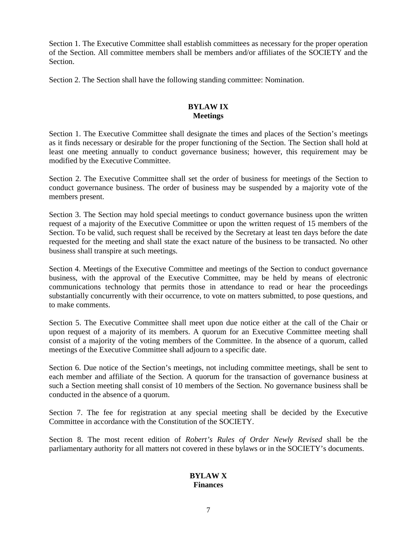Section 1. The Executive Committee shall establish committees as necessary for the proper operation of the Section. All committee members shall be members and/or affiliates of the SOCIETY and the **Section** 

Section 2. The Section shall have the following standing committee: Nomination.

# **BYLAW IX Meetings**

Section 1. The Executive Committee shall designate the times and places of the Section's meetings as it finds necessary or desirable for the proper functioning of the Section. The Section shall hold at least one meeting annually to conduct governance business; however, this requirement may be modified by the Executive Committee.

Section 2. The Executive Committee shall set the order of business for meetings of the Section to conduct governance business. The order of business may be suspended by a majority vote of the members present.

Section 3. The Section may hold special meetings to conduct governance business upon the written request of a majority of the Executive Committee or upon the written request of 15 members of the Section. To be valid, such request shall be received by the Secretary at least ten days before the date requested for the meeting and shall state the exact nature of the business to be transacted. No other business shall transpire at such meetings.

Section 4. Meetings of the Executive Committee and meetings of the Section to conduct governance business, with the approval of the Executive Committee, may be held by means of electronic communications technology that permits those in attendance to read or hear the proceedings substantially concurrently with their occurrence, to vote on matters submitted, to pose questions, and to make comments.

Section 5. The Executive Committee shall meet upon due notice either at the call of the Chair or upon request of a majority of its members. A quorum for an Executive Committee meeting shall consist of a majority of the voting members of the Committee. In the absence of a quorum, called meetings of the Executive Committee shall adjourn to a specific date.

Section 6. Due notice of the Section's meetings, not including committee meetings, shall be sent to each member and affiliate of the Section. A quorum for the transaction of governance business at such a Section meeting shall consist of 10 members of the Section. No governance business shall be conducted in the absence of a quorum.

Section 7. The fee for registration at any special meeting shall be decided by the Executive Committee in accordance with the Constitution of the SOCIETY.

Section 8. The most recent edition of *Robert's Rules of Order Newly Revised* shall be the parliamentary authority for all matters not covered in these bylaws or in the SOCIETY's documents.

## **BYLAW X Finances**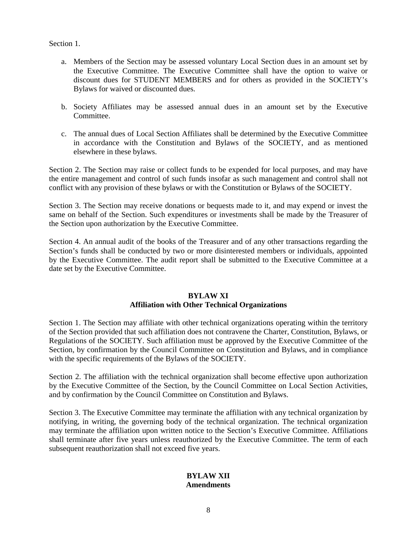Section 1.

- a. Members of the Section may be assessed voluntary Local Section dues in an amount set by the Executive Committee. The Executive Committee shall have the option to waive or discount dues for STUDENT MEMBERS and for others as provided in the SOCIETY's Bylaws for waived or discounted dues.
- b. Society Affiliates may be assessed annual dues in an amount set by the Executive Committee.
- c. The annual dues of Local Section Affiliates shall be determined by the Executive Committee in accordance with the Constitution and Bylaws of the SOCIETY, and as mentioned elsewhere in these bylaws.

Section 2. The Section may raise or collect funds to be expended for local purposes, and may have the entire management and control of such funds insofar as such management and control shall not conflict with any provision of these bylaws or with the Constitution or Bylaws of the SOCIETY.

Section 3. The Section may receive donations or bequests made to it, and may expend or invest the same on behalf of the Section. Such expenditures or investments shall be made by the Treasurer of the Section upon authorization by the Executive Committee.

Section 4. An annual audit of the books of the Treasurer and of any other transactions regarding the Section's funds shall be conducted by two or more disinterested members or individuals, appointed by the Executive Committee. The audit report shall be submitted to the Executive Committee at a date set by the Executive Committee.

#### **BYLAW XI Affiliation with Other Technical Organizations**

Section 1. The Section may affiliate with other technical organizations operating within the territory of the Section provided that such affiliation does not contravene the Charter, Constitution, Bylaws, or Regulations of the SOCIETY. Such affiliation must be approved by the Executive Committee of the Section, by confirmation by the Council Committee on Constitution and Bylaws, and in compliance with the specific requirements of the Bylaws of the SOCIETY.

Section 2. The affiliation with the technical organization shall become effective upon authorization by the Executive Committee of the Section, by the Council Committee on Local Section Activities, and by confirmation by the Council Committee on Constitution and Bylaws.

Section 3. The Executive Committee may terminate the affiliation with any technical organization by notifying, in writing, the governing body of the technical organization. The technical organization may terminate the affiliation upon written notice to the Section's Executive Committee. Affiliations shall terminate after five years unless reauthorized by the Executive Committee. The term of each subsequent reauthorization shall not exceed five years.

# **BYLAW XII Amendments**